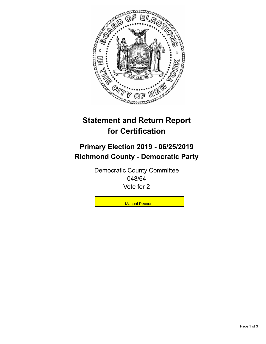

## **Statement and Return Report for Certification**

## **Primary Election 2019 - 06/25/2019 Richmond County - Democratic Party**

Democratic County Committee 048/64 Vote for 2

**Manual Recount**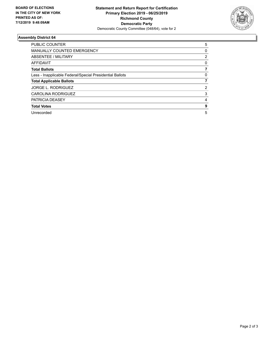

## **Assembly District 64**

| <b>PUBLIC COUNTER</b>                                    | 5 |
|----------------------------------------------------------|---|
| <b>MANUALLY COUNTED EMERGENCY</b>                        | 0 |
| ABSENTEE / MILITARY                                      | 2 |
| <b>AFFIDAVIT</b>                                         | 0 |
| <b>Total Ballots</b>                                     |   |
| Less - Inapplicable Federal/Special Presidential Ballots | 0 |
| <b>Total Applicable Ballots</b>                          |   |
| <b>JORGE L. RODRIGUEZ</b>                                | 2 |
| CAROLINA RODRIGUEZ                                       | 3 |
| PATRICIA DEASEY                                          | 4 |
| <b>Total Votes</b>                                       | 9 |
| Unrecorded                                               | 5 |